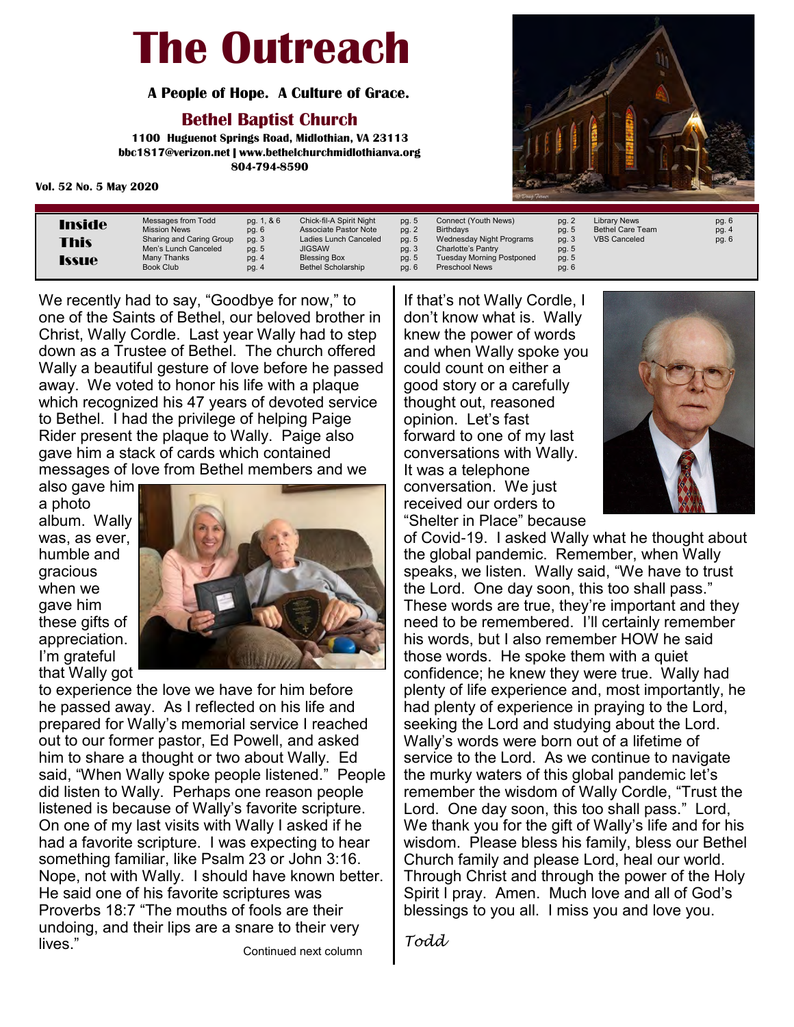#### **The Outreach**

 **A People of Hope. A Culture of Grace.**

#### **Bethel Baptist Church**

**1100 Huguenot Springs Road, Midlothian, VA 23113 bbc1817@verizon.net | www.bethelchurchmidlothianva.org 804-794-8590**

#### **Vol. 52 No. 5 May 2020**

| Inside       | Messages from Todd       | pg. 1, & 6 | Chick-fil-A Spirit Night  | pg. 5 | Connect (Youth News)             | pg. 2 | Library News          |
|--------------|--------------------------|------------|---------------------------|-------|----------------------------------|-------|-----------------------|
|              | <b>Mission News</b>      | pg. 6      | Associate Pastor Note     | pg. 2 | <b>Birthdavs</b>                 | pg. 5 | <b>Bethel Care Te</b> |
| <b>This</b>  | Sharing and Caring Group | pg. 3      | Ladies Lunch Canceled     | pg. 5 | Wednesday Night Programs         | pg. 3 | <b>VBS Canceled</b>   |
|              | Men's Lunch Canceled     | pg. 5      | <b>JIGSAW</b>             | pg. 3 | Charlotte's Pantry               | pg. 5 |                       |
| <b>Issue</b> | Many Thanks              | pg. 4      | <b>Blessing Box</b>       | pg. 5 | <b>Tuesday Morning Postponed</b> | pg. 5 |                       |
|              | <b>Book Club</b>         | pg. 4      | <b>Bethel Scholarship</b> | pg. 6 | <b>Preschool News</b>            | pg. 6 |                       |

We recently had to say, "Goodbye for now," to one of the Saints of Bethel, our beloved brother in Christ, Wally Cordle. Last year Wally had to step down as a Trustee of Bethel. The church offered Wally a beautiful gesture of love before he passed away. We voted to honor his life with a plaque which recognized his 47 years of devoted service to Bethel. I had the privilege of helping Paige Rider present the plaque to Wally. Paige also gave him a stack of cards which contained messages of love from Bethel members and we

also gave him a photo album. Wally was, as ever, humble and gracious when we gave him these gifts of appreciation. I'm grateful that Wally got



to experience the love we have for him before he passed away. As I reflected on his life and prepared for Wally's memorial service I reached out to our former pastor, Ed Powell, and asked him to share a thought or two about Wally. Ed said, "When Wally spoke people listened." People did listen to Wally. Perhaps one reason people listened is because of Wally's favorite scripture. On one of my last visits with Wally I asked if he had a favorite scripture. I was expecting to hear something familiar, like Psalm 23 or John 3:16. Nope, not with Wally. I should have known better. He said one of his favorite scriptures was Proverbs 18:7 "The mouths of fools are their undoing, and their lips are a snare to their very lives." Continued next column

If that's not Wally Cordle, I don't know what is. Wally knew the power of words and when Wally spoke you could count on either a good story or a carefully thought out, reasoned opinion. Let's fast forward to one of my last conversations with Wally. It was a telephone conversation. We just received our orders to "Shelter in Place" because



of Covid-19. I asked Wally what he thought about the global pandemic. Remember, when Wally speaks, we listen. Wally said, "We have to trust the Lord. One day soon, this too shall pass." These words are true, they're important and they need to be remembered. I'll certainly remember his words, but I also remember HOW he said those words. He spoke them with a quiet confidence; he knew they were true. Wally had plenty of life experience and, most importantly, he had plenty of experience in praying to the Lord, seeking the Lord and studying about the Lord. Wally's words were born out of a lifetime of service to the Lord. As we continue to navigate the murky waters of this global pandemic let's remember the wisdom of Wally Cordle, "Trust the Lord. One day soon, this too shall pass." Lord, We thank you for the gift of Wally's life and for his wisdom. Please bless his family, bless our Bethel Church family and please Lord, heal our world. Through Christ and through the power of the Holy Spirit I pray. Amen. Much love and all of God's blessings to you all. I miss you and love you.

*Todd*



Team

pg. 6 pg. 4  $pg. 6$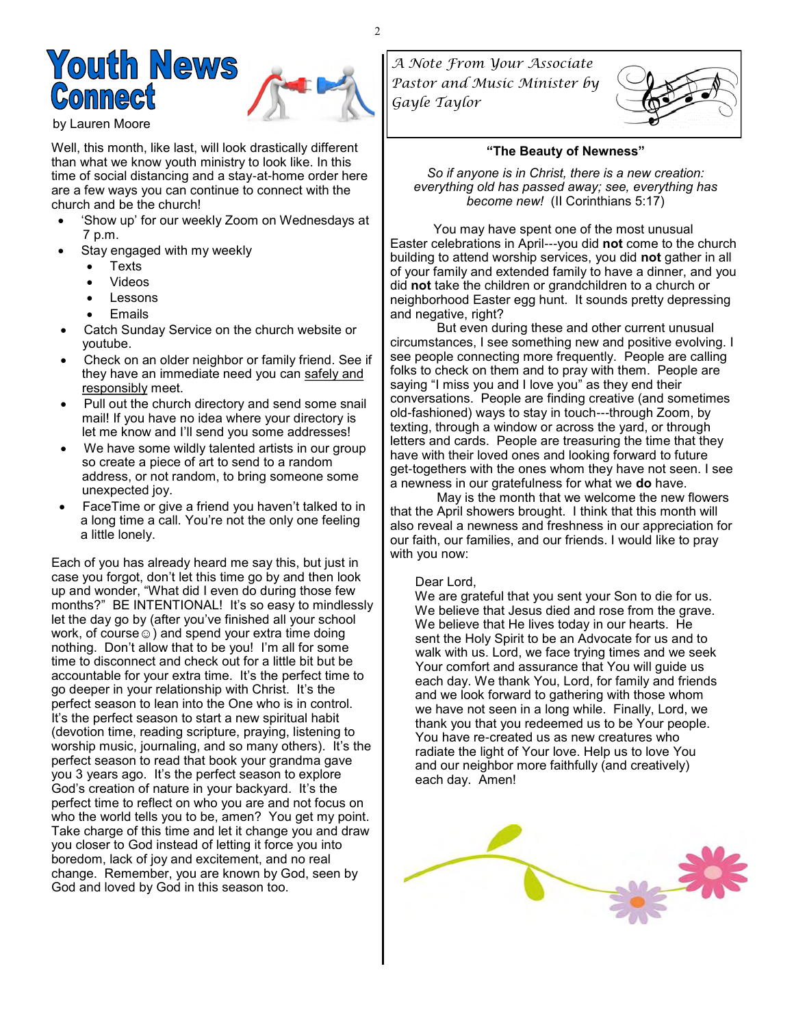

by Lauren Moore

Well, this month, like last, will look drastically different than what we know youth ministry to look like. In this time of social distancing and a stay-at-home order here are a few ways you can continue to connect with the church and be the church!

- 'Show up' for our weekly Zoom on Wednesdays at 7 p.m.
- Stay engaged with my weekly
	- **Texts**
	- Videos
	- **Lessons**
	- **Emails**
- Catch Sunday Service on the church website or youtube.
- Check on an older neighbor or family friend. See if they have an immediate need you can safely and responsibly meet.
- Pull out the church directory and send some snail mail! If you have no idea where your directory is let me know and I'll send you some addresses!
- We have some wildly talented artists in our group so create a piece of art to send to a random address, or not random, to bring someone some unexpected joy.
- FaceTime or give a friend you haven't talked to in a long time a call. You're not the only one feeling a little lonely.

Each of you has already heard me say this, but just in case you forgot, don't let this time go by and then look up and wonder, "What did I even do during those few months?" BE INTENTIONAL! It's so easy to mindlessly let the day go by (after you've finished all your school work, of course  $\circledcirc$ ) and spend your extra time doing nothing. Don't allow that to be you! I'm all for some time to disconnect and check out for a little bit but be accountable for your extra time. It's the perfect time to go deeper in your relationship with Christ. It's the perfect season to lean into the One who is in control. It's the perfect season to start a new spiritual habit (devotion time, reading scripture, praying, listening to worship music, journaling, and so many others). It's the perfect season to read that book your grandma gave you 3 years ago. It's the perfect season to explore God's creation of nature in your backyard. It's the perfect time to reflect on who you are and not focus on who the world tells you to be, amen? You get my point. Take charge of this time and let it change you and draw you closer to God instead of letting it force you into boredom, lack of joy and excitement, and no real change. Remember, you are known by God, seen by God and loved by God in this season too.

*A Note From Your Associate Pastor and Music Minister by Gayle Taylor* 



#### **"The Beauty of Newness"**

*So if anyone is in Christ, there is a new creation: everything old has passed away; see, everything has become new!* (II Corinthians 5:17)

 You may have spent one of the most unusual Easter celebrations in April---you did **not** come to the church building to attend worship services, you did **not** gather in all of your family and extended family to have a dinner, and you did **not** take the children or grandchildren to a church or neighborhood Easter egg hunt. It sounds pretty depressing and negative, right?

But even during these and other current unusual circumstances, I see something new and positive evolving. I see people connecting more frequently. People are calling folks to check on them and to pray with them. People are saying "I miss you and I love you" as they end their conversations. People are finding creative (and sometimes old-fashioned) ways to stay in touch---through Zoom, by texting, through a window or across the yard, or through letters and cards. People are treasuring the time that they have with their loved ones and looking forward to future get-togethers with the ones whom they have not seen. I see a newness in our gratefulness for what we **do** have.

May is the month that we welcome the new flowers that the April showers brought. I think that this month will also reveal a newness and freshness in our appreciation for our faith, our families, and our friends. I would like to pray with you now:

#### Dear Lord,

 We are grateful that you sent your Son to die for us. We believe that Jesus died and rose from the grave. We believe that He lives today in our hearts. He sent the Holy Spirit to be an Advocate for us and to walk with us. Lord, we face trying times and we seek Your comfort and assurance that You will guide us each day. We thank You, Lord, for family and friends and we look forward to gathering with those whom we have not seen in a long while. Finally, Lord, we thank you that you redeemed us to be Your people. You have re-created us as new creatures who radiate the light of Your love. Help us to love You and our neighbor more faithfully (and creatively) each day. Amen!

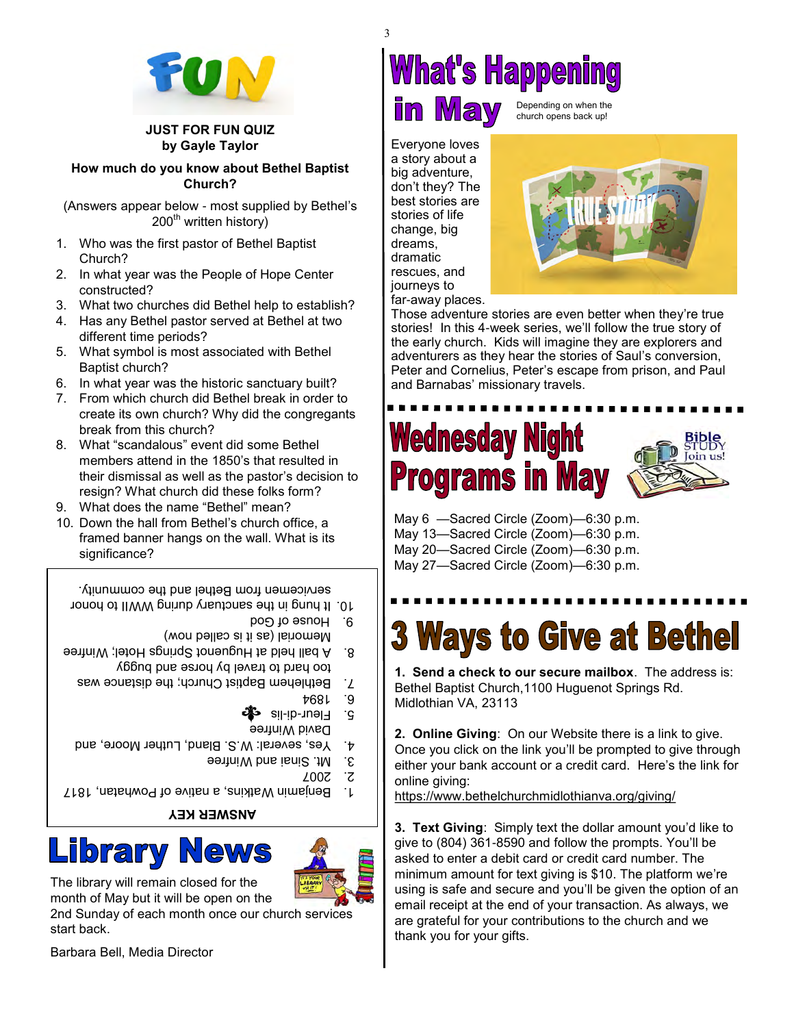

#### **JUST FOR FUN QUIZ by Gayle Taylor**

**How much do you know about Bethel Baptist Church?**

(Answers appear below - most supplied by Bethel's  $200<sup>th</sup>$  written history)

- 1. Who was the first pastor of Bethel Baptist Church?
- 2. In what year was the People of Hope Center constructed?
- 3. What two churches did Bethel help to establish?
- 4. Has any Bethel pastor served at Bethel at two different time periods?
- 5. What symbol is most associated with Bethel Baptist church?
- 6. In what year was the historic sanctuary built?
- 7. From which church did Bethel break in order to create its own church? Why did the congregants break from this church?
- 8. What "scandalous" event did some Bethel members attend in the 1850's that resulted in their dismissal as well as the pastor's decision to resign? What church did these folks form?
- 9. What does the name "Bethel" mean?
- 10. Down the hall from Bethel's church office, a framed banner hangs on the wall. What is its significance?

9. House of God It hung in the sanctuary during WWII to honor 10. servicemen from Bethel and the community.

- 
- Memorial (as it is called now)
- too hard to travel by horse and buggy A ball held at Huguenot Springs Hotel; Winfree 8.
	- Bethlehem Baptist Church; the distance was 7.
		- 1894
		- 5. Fleur-di-lis <del>o</del>fe
		- David Winfree
	- 4. Yes, several: W.S. Bland, Luther Moore, and
		- 9 Mt. Sinai and Winfree
			- 2007 2.
- 1. Benjamin Watkins, a nitre of Powhatan, 1817

**ANSWER KEY**





The library will remain closed for the month of May but it will be open on the

2nd Sunday of each month once our church services start back.

Barbara Bell, Media Director

#### **What's Happening** in Mav Depending on when the

church opens back up!

Everyone loves a story about a big adventure, don't they? The best stories are stories of life change, big dreams, dramatic rescues, and journeys to

far-away places. Those adventure stories are even better when they're true stories! In this 4-week series, we'll follow the true story of the early church. Kids will imagine they are explorers and adventurers as they hear the stories of Saul's conversion, Peter and Cornelius, Peter's escape from prison, and Paul and Barnabas' missionary travels.

## **Wednesday Night Programs in May**

May 6 —Sacred Circle (Zoom)—6:30 p.m. May 13—Sacred Circle (Zoom)—6:30 p.m. May 20—Sacred Circle (Zoom)—6:30 p.m. May 27—Sacred Circle (Zoom)—6:30 p.m.

## **3 Ways to Give at Bethel**

**1. Send a check to our secure mailbox**. The address is: Bethel Baptist Church,1100 Huguenot Springs Rd. Midlothian VA, 23113

**2. Online Giving**: On our Website there is a link to give. Once you click on the link you'll be prompted to give through either your bank account or a credit card. Here's the link for online giving:

[https://www.bethelchurchmidlothianva.org/giving/](https://bbc1817.us7.list-manage.com/track/click?u=24adf057605a86e21a1434386&id=398748ca63&e=0acac2e3d0)

**3. Text Giving**: Simply text the dollar amount you'd like to give to (804) 361-8590 and follow the prompts. You'll be asked to enter a debit card or credit card number. The minimum amount for text giving is \$10. The platform we're using is safe and secure and you'll be given the option of an email receipt at the end of your transaction. As always, we are grateful for your contributions to the church and we thank you for your gifts.

3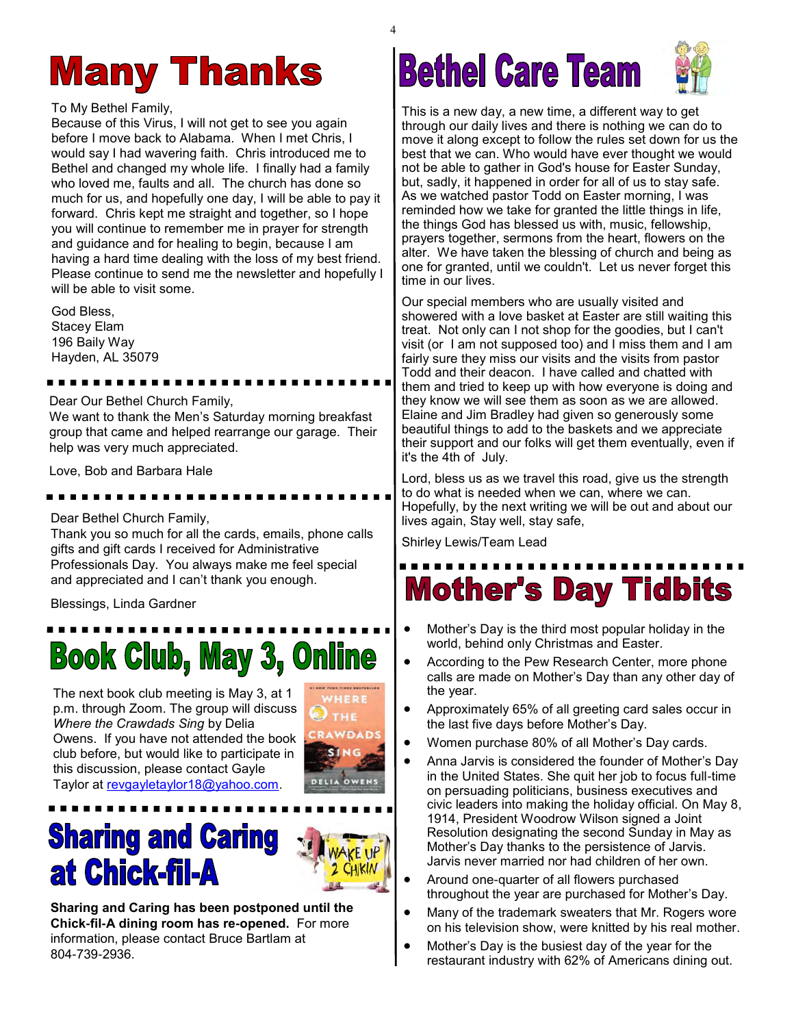#### **Many Thanks**

To My Bethel Family,

Because of this Virus, I will not get to see you again before I move back to Alabama. When I met Chris, I would say I had wavering faith. Chris introduced me to Bethel and changed my whole life. I finally had a family who loved me, faults and all. The church has done so much for us, and hopefully one day, I will be able to pay it forward. Chris kept me straight and together, so I hope you will continue to remember me in prayer for strength and guidance and for healing to begin, because I am having a hard time dealing with the loss of my best friend. Please continue to send me the newsletter and hopefully I will be able to visit some.

God Bless, Stacey Elam 196 Baily Way Hayden, AL 35079

#### Dear Our Bethel Church Family,

----------

We want to thank the Men's Saturday morning breakfast group that came and helped rearrange our garage. Their help was very much appreciated.

Love, Bob and Barbara Hale

Dear Bethel Church Family,

Thank you so much for all the cards, emails, phone calls gifts and gift cards I received for Administrative Professionals Day. You always make me feel special and appreciated and I can't thank you enough.

Blessings, Linda Gardner

## **Book Club, May 3, Online**

The next book club meeting is May 3, at 1 p.m. through Zoom. The group will discuss *Where the Crawdads Sing* by Delia Owens. If you have not attended the book club before, but would like to participate in this discussion, please contact Gayle Taylor at [revgayletaylor18@yahoo.com.](mailto:revgayletaylor18@yahoo.com)



#### **Sharing and Caring at Chick-fil-A**



**Sharing and Caring has been postponed until the Chick-fil-A dining room has re-opened.** For more information, please contact Bruce Bartlam at 804-739-2936.

## **Bethel Care Team**



This is a new day, a new time, a different way to get through our daily lives and there is nothing we can do to move it along except to follow the rules set down for us the best that we can. Who would have ever thought we would not be able to gather in God's house for Easter Sunday, but, sadly, it happened in order for all of us to stay safe. As we watched pastor Todd on Easter morning, I was reminded how we take for granted the little things in life, the things God has blessed us with, music, fellowship, prayers together, sermons from the heart, flowers on the alter. We have taken the blessing of church and being as one for granted, until we couldn't. Let us never forget this time in our lives.

Our special members who are usually visited and showered with a love basket at Easter are still waiting this treat. Not only can I not shop for the goodies, but I can't visit (or I am not supposed too) and I miss them and I am fairly sure they miss our visits and the visits from pastor Todd and their deacon. I have called and chatted with them and tried to keep up with how everyone is doing and they know we will see them as soon as we are allowed. Elaine and Jim Bradley had given so generously some beautiful things to add to the baskets and we appreciate their support and our folks will get them eventually, even if it's the 4th of July.

Lord, bless us as we travel this road, give us the strength to do what is needed when we can, where we can. Hopefully, by the next writing we will be out and about our lives again, Stay well, stay safe,

Shirley Lewis/Team Lead

## **Mother's Day Tidbits**

- Mother's Day is the third most popular holiday in the world, behind only Christmas and Easter.
- According to the Pew Research Center, more phone calls are made on Mother's Day than any other day of the year.
- Approximately 65% of all greeting card sales occur in the last five days before Mother's Day.
- Women purchase 80% of all Mother's Day cards.
- Anna Jarvis is considered the founder of Mother's Day in the United States. She quit her job to focus full-time on persuading politicians, business executives and civic leaders into making the holiday official. On May 8, 1914, President Woodrow Wilson signed a Joint Resolution designating the second Sunday in May as Mother's Day thanks to the persistence of Jarvis. Jarvis never married nor had children of her own.
- Around one-quarter of all flowers purchased throughout the year are purchased for Mother's Day.
- Many of the trademark sweaters that Mr. Rogers wore on his television show, were knitted by his real mother.
- Mother's Day is the busiest day of the year for the restaurant industry with 62% of Americans dining out.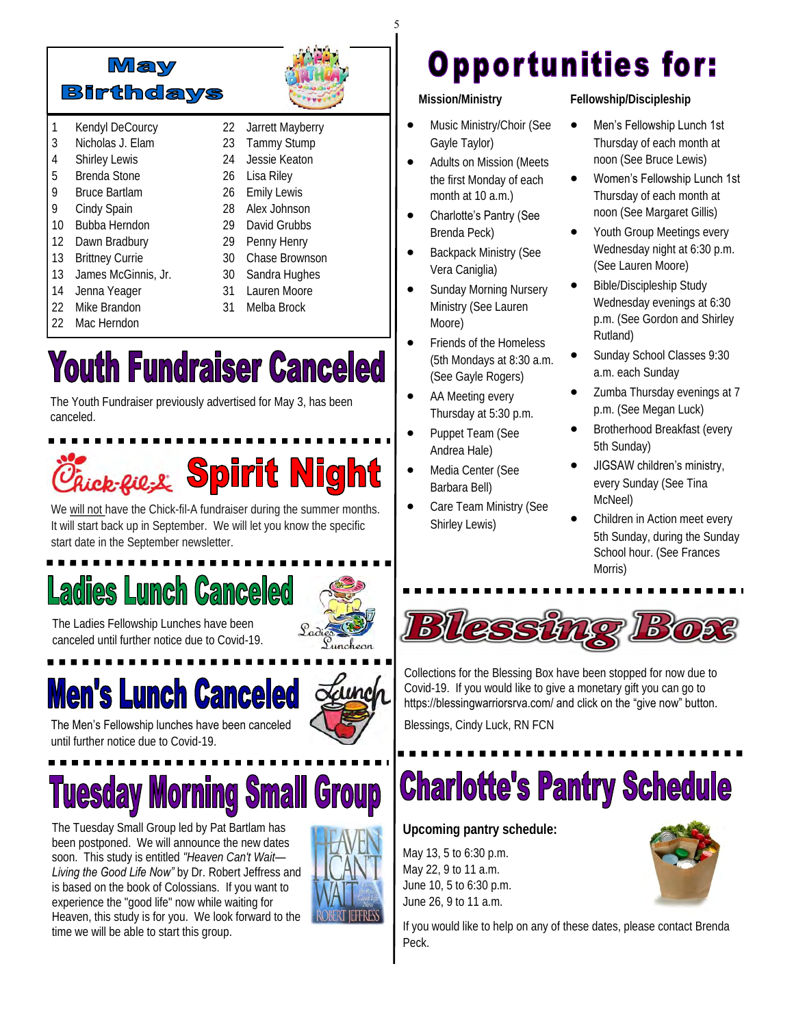

- 1 Kendyl DeCourcy
- 3 Nicholas J. Elam
- 4 Shirley Lewis
- 5 Brenda Stone 9 Bruce Bartlam
- 9 Cindy Spain
- 
- 10 Bubba Herndon
- 12 Dawn Bradbury
- 13 Brittney Currie
- 13 James McGinnis, Jr.
- 14 Jenna Yeager
- 22 Mike Brandon
- 22 Mac Herndon

24 Jessie Keaton 26 Lisa Riley 26 Emily Lewis 28 Alex Johnson

22 Jarrett Mayberry 23 Tammy Stump

- 29 David Grubbs
- 29 Penny Henry
- 30 Chase Brownson
- 30 Sandra Hughes
- 31 Lauren Moore
- 31 Melba Brock

## **Youth Fundraiser Canceled**

The Youth Fundraiser previously advertised for May 3, has been canceled.

# Chick-Rie-& Spirit Night

We will not have the Chick-fil-A fundraiser during the summer months. It will start back up in September. We will let you know the specific start date in the September newsletter.

## **Ladies Lunch Canceled**



Launch

The Ladies Fellowship Lunches have been canceled until further notice due to Covid-19.

## **Men's Lunch Canceled**

The Men's Fellowship lunches have been canceled until further notice due to Covid-19.

# **Tuesday Morning Small Group**

The Tuesday Small Group led by Pat Bartlam has been postponed. We will announce the new dates soon. This study is entitled *"Heaven Can't Wait— Living the Good Life Now"* by Dr. Robert Jeffress and is based on the book of Colossians. If you want to experience the "good life" now while waiting for Heaven, this study is for you. We look forward to the time we will be able to start this group.



#### **Opportunities for:**

 **Mission/Ministry**

5

- Music Ministry/Choir (See Gayle Taylor)
- Adults on Mission (Meets the first Monday of each month at 10 a.m.)
- Charlotte's Pantry (See Brenda Peck)
- Backpack Ministry (See Vera Caniglia)
- Sunday Morning Nursery Ministry (See Lauren Moore)
- Friends of the Homeless (5th Mondays at 8:30 a.m. (See Gayle Rogers)
- AA Meeting every Thursday at 5:30 p.m.
- Puppet Team (See Andrea Hale)
- Media Center (See Barbara Bell)
- Care Team Ministry (See Shirley Lewis)

**Fellowship/Discipleship**

- Men's Fellowship Lunch 1st Thursday of each month at noon (See Bruce Lewis)
- Women's Fellowship Lunch 1st Thursday of each month at noon (See Margaret Gillis)
- Youth Group Meetings every Wednesday night at 6:30 p.m. (See Lauren Moore)
- Bible/Discipleship Study Wednesday evenings at 6:30 p.m. (See Gordon and Shirley Rutland)
- Sunday School Classes 9:30 a.m. each Sunday
- Zumba Thursday evenings at 7 p.m. (See Megan Luck)
- Brotherhood Breakfast (every 5th Sunday)
- JIGSAW children's ministry, every Sunday (See Tina McNeel)
- Children in Action meet every 5th Sunday, during the Sunday School hour. (See Frances Morris)



Collections for the Blessing Box have been stopped for now due to Covid-19. If you would like to give a monetary gift you can go to https://blessingwarriorsrva.com/ and click on the "give now" button.

Blessings, Cindy Luck, RN FCN

## **Charlotte's Pantry Schedule**

**Upcoming pantry schedule:** 

May 13, 5 to 6:30 p.m. May 22, 9 to 11 a.m. June 10, 5 to 6:30 p.m. June 26, 9 to 11 a.m.



If you would like to help on any of these dates, please contact Brenda Peck.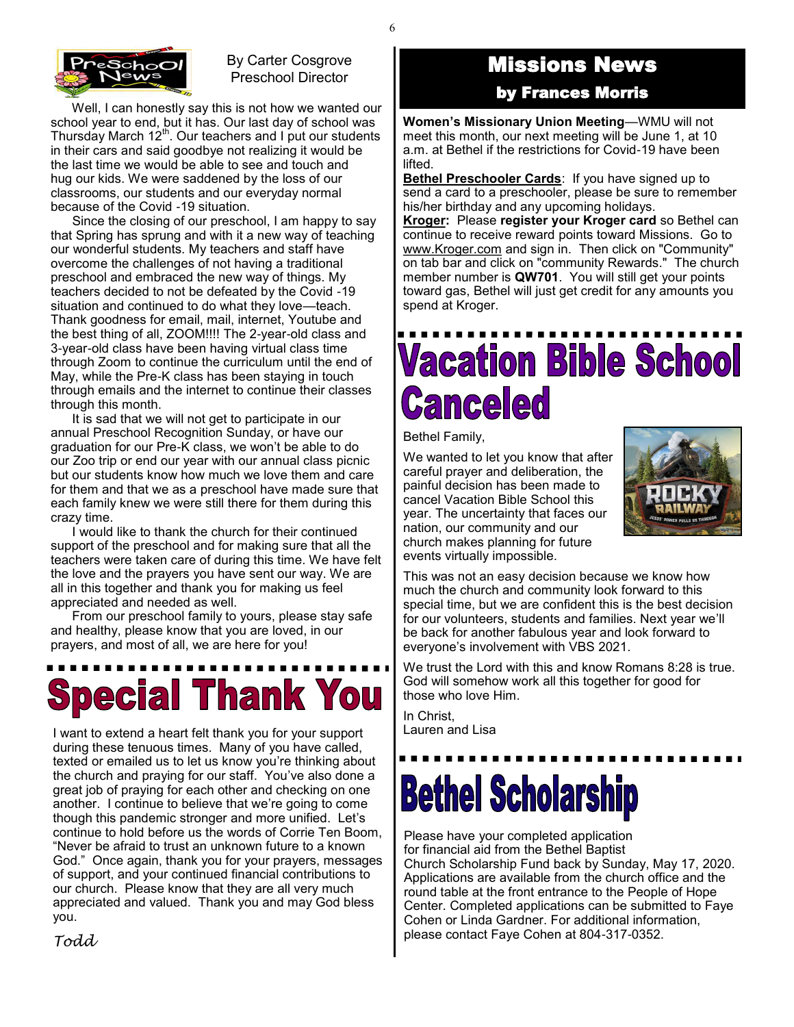

#### By Carter Cosgrove Preschool Director

 Well, I can honestly say this is not how we wanted our school year to end, but it has. Our last day of school was Thursday March  $12^{th}$ . Our teachers and I put our students in their cars and said goodbye not realizing it would be the last time we would be able to see and touch and hug our kids. We were saddened by the loss of our classrooms, our students and our everyday normal because of the Covid -19 situation.

 Since the closing of our preschool, I am happy to say that Spring has sprung and with it a new way of teaching our wonderful students. My teachers and staff have overcome the challenges of not having a traditional preschool and embraced the new way of things. My teachers decided to not be defeated by the Covid -19 situation and continued to do what they love—teach. Thank goodness for email, mail, internet, Youtube and the best thing of all, ZOOM!!!! The 2-year-old class and 3-year-old class have been having virtual class time through Zoom to continue the curriculum until the end of May, while the Pre-K class has been staying in touch through emails and the internet to continue their classes through this month.

 It is sad that we will not get to participate in our annual Preschool Recognition Sunday, or have our graduation for our Pre-K class, we won't be able to do our Zoo trip or end our year with our annual class picnic but our students know how much we love them and care for them and that we as a preschool have made sure that each family knew we were still there for them during this crazy time.

 I would like to thank the church for their continued support of the preschool and for making sure that all the teachers were taken care of during this time. We have felt the love and the prayers you have sent our way. We are all in this together and thank you for making us feel appreciated and needed as well.

 From our preschool family to yours, please stay safe and healthy, please know that you are loved, in our prayers, and most of all, we are here for you!

# **Special Thank You**

I want to extend a heart felt thank you for your support during these tenuous times. Many of you have called, texted or emailed us to let us know you're thinking about the church and praying for our staff. You've also done a great job of praying for each other and checking on one another. I continue to believe that we're going to come though this pandemic stronger and more unified. Let's continue to hold before us the words of Corrie Ten Boom, "Never be afraid to trust an unknown future to a known God." Once again, thank you for your prayers, messages of support, and your continued financial contributions to our church. Please know that they are all very much appreciated and valued. Thank you and may God bless you.

Missions News

by Frances Morris

**Women's Missionary Union Meeting**—WMU will not meet this month, our next meeting will be June 1, at 10 a.m. at Bethel if the restrictions for Covid-19 have been lifted.

**Bethel Preschooler Cards**: If you have signed up to send a card to a preschooler, please be sure to remember his/her birthday and any upcoming holidays.

**Kroger:** Please **register your Kroger card** so Bethel can continue to receive reward points toward Missions. Go to [www.Kroger.com](http://bbc1817.us7.list-manage2.com/track/click?u=24adf057605a86e21a1434386&id=d07875dae2&e=0acac2e3d0) and sign in. Then click on "Community" on tab bar and click on "community Rewards." The church member number is **QW701**. You will still get your points toward gas, Bethel will just get credit for any amounts you spend at Kroger.

## **Vacation Bible School** *<u>Canceled</u>*

Bethel Family,

We wanted to let you know that after careful prayer and deliberation, the painful decision has been made to cancel Vacation Bible School this year. The uncertainty that faces our nation, our community and our church makes planning for future events virtually impossible.



This was not an easy decision because we know how much the church and community look forward to this special time, but we are confident this is the best decision for our volunteers, students and families. Next year we'll be back for another fabulous year and look forward to everyone's involvement with VBS 2021.

We trust the Lord with this and know Romans 8:28 is true. God will somehow work all this together for good for those who love Him.

In Christ, Lauren and Lisa

# **Bethel Scholarship**

Please have your completed application for financial aid from the Bethel Baptist Church Scholarship Fund back by Sunday, May 17, 2020. Applications are available from the church office and the round table at the front entrance to the People of Hope Center. Completed applications can be submitted to Faye Cohen or Linda Gardner. For additional information, please contact Faye Cohen at 804-317-0352.

*Todd*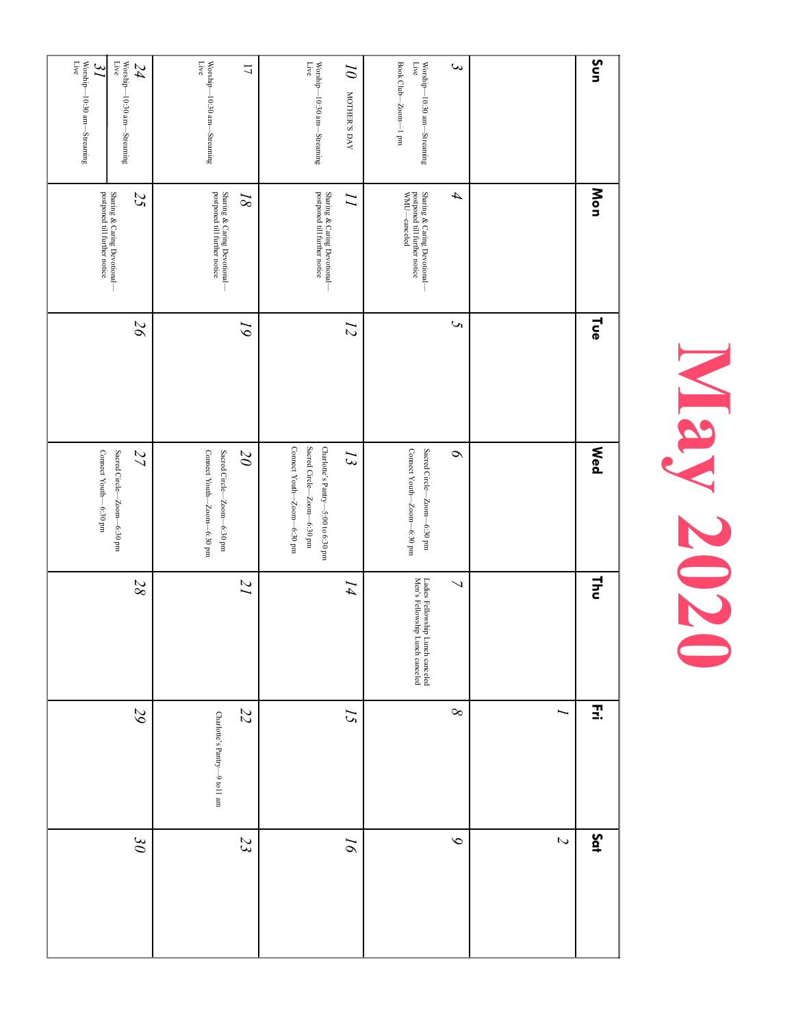| Sun                                                                                                                    | Mon                                                                                                                                              | <b>Tue</b>       | <b>Med</b>                                                                                     | $\frac{1}{2}$                                                                   | Ξ.                           | Sat                        |
|------------------------------------------------------------------------------------------------------------------------|--------------------------------------------------------------------------------------------------------------------------------------------------|------------------|------------------------------------------------------------------------------------------------|---------------------------------------------------------------------------------|------------------------------|----------------------------|
|                                                                                                                        |                                                                                                                                                  |                  |                                                                                                |                                                                                 | ∽                            | $\boldsymbol{\mathcal{L}}$ |
| $\epsilon$                                                                                                             | $\boldsymbol{\mathcal{A}}$                                                                                                                       | S                | $\sim$                                                                                         | $\overline{\phantom{0}}$                                                        | $\infty$                     | $\infty$                   |
| $\begin{array}{l} \rm{Worship} \!-\! 10:30\; am \!-\! 5treaming\\ \rm{Live} \end{array}$<br>Book Club-Zoom-1 pm        | Sharing & Caring Devotional—<br>postponed till further notice<br>WMU—canceled                                                                    |                  | Connect Youth-Zoom-6:30 pm<br>Sacred Circle—Zoom—6:30 pm                                       | Ladies Fellowship L<br>Men's Fellowship L<br>b Lunch canceled<br>Lunch canceled |                              |                            |
| $\overline{\partial}$<br>MOTHER'S DAY                                                                                  |                                                                                                                                                  | $\overline{L}$   | $\tilde{z}$                                                                                    | I4                                                                              | 15                           | $\overline{\rho}$          |
| Worship—10:30 am—Streaming $$\rm{Live}$$                                                                               | Sharing & Caring Devotional—<br>postponed till further notice                                                                                    |                  | Connect Youth-Zoom-6:30 pm<br>Sacred Circle-Zoom-6:30 pm<br>Charlotte's Pantry-5:00 to 6:30 pm |                                                                                 |                              |                            |
| $\overline{1}$                                                                                                         | $\overline{g}$                                                                                                                                   | $\tilde{\delta}$ | $\overline{0}$                                                                                 | $\overline{I}$                                                                  | 22                           | 23                         |
| Worship—10:30 am—Streaming $_{\rm{Live}}$                                                                              | Sharing & Caring Devotional—<br>postponed till further notice                                                                                    |                  | Connect Youth-Zoom-6:30 pm<br>Sacred Circle—Zoom—6:30 pm                                       |                                                                                 | Charlotte's Pantry-9 to11 am |                            |
| Worship—10:30 am—Streaming $$\rm{Live}$<br>$\mathcal{L}4$                                                              | $\begin{array}{l} {\rm Sharing} \ \& \ {\rm Caring} \ {\rm Devational} \ - \\ {\rm postponed} \ {\rm till \ further \ notice} \end{array}$<br>25 | $9\zeta$         | Sacred Circle—Zoom—6:30 pm<br>27                                                               | 88                                                                              | 29                           | $\partial \mathcal{E}$     |
| $\begin{array}{c} \rm{Worship} \!-\! 10\!:\! 30\; am \!-\! \! {\it Streaming} \\ \rm{Live} \end{array}$<br>$\tilde{J}$ |                                                                                                                                                  |                  | Connect Youth-6:30 pm                                                                          |                                                                                 |                              |                            |

# **May 2020**